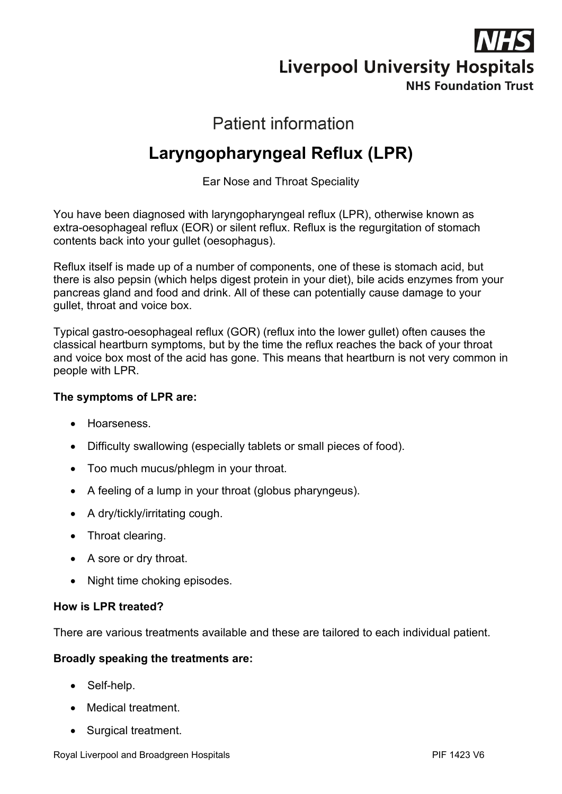

# **Patient information**

# **Laryngopharyngeal Reflux (LPR)**

Ear Nose and Throat Speciality

You have been diagnosed with laryngopharyngeal reflux (LPR), otherwise known as extra-oesophageal reflux (EOR) or silent reflux. Reflux is the regurgitation of stomach contents back into your gullet (oesophagus).

Reflux itself is made up of a number of components, one of these is stomach acid, but there is also pepsin (which helps digest protein in your diet), bile acids enzymes from your pancreas gland and food and drink. All of these can potentially cause damage to your gullet, throat and voice box.

Typical gastro-oesophageal reflux (GOR) (reflux into the lower gullet) often causes the classical heartburn symptoms, but by the time the reflux reaches the back of your throat and voice box most of the acid has gone. This means that heartburn is not very common in people with LPR.

#### **The symptoms of LPR are:**

- Hoarseness.
- Difficulty swallowing (especially tablets or small pieces of food).
- Too much mucus/phlegm in your throat.
- A feeling of a lump in your throat (globus pharyngeus).
- A dry/tickly/irritating cough.
- Throat clearing.
- A sore or dry throat.
- Night time choking episodes.

#### **How is LPR treated?**

There are various treatments available and these are tailored to each individual patient.

#### **Broadly speaking the treatments are:**

- Self-help.
- Medical treatment.
- Surgical treatment.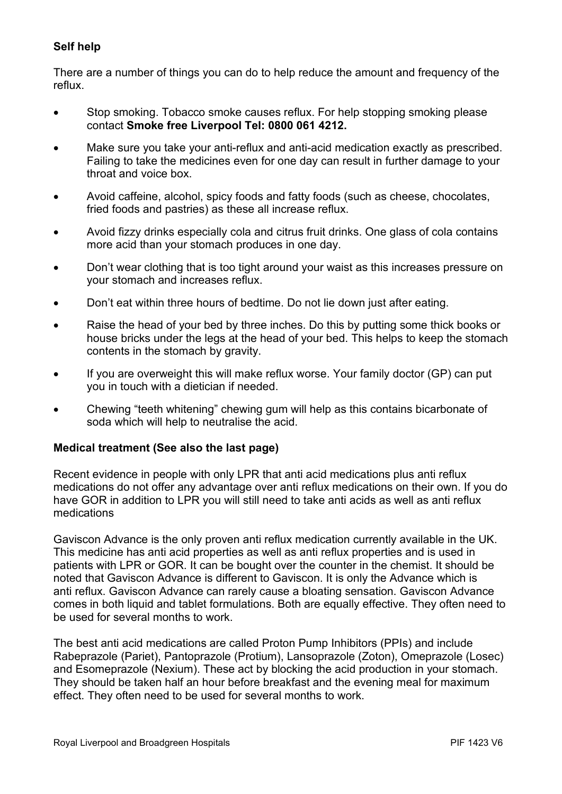### **Self help**

There are a number of things you can do to help reduce the amount and frequency of the reflux.

- Stop smoking. Tobacco smoke causes reflux. For help stopping smoking please contact **Smoke free Liverpool Tel: 0800 061 4212.**
- Make sure you take your anti-reflux and anti-acid medication exactly as prescribed. Failing to take the medicines even for one day can result in further damage to your throat and voice box.
- Avoid caffeine, alcohol, spicy foods and fatty foods (such as cheese, chocolates, fried foods and pastries) as these all increase reflux.
- Avoid fizzy drinks especially cola and citrus fruit drinks. One glass of cola contains more acid than your stomach produces in one day.
- Don't wear clothing that is too tight around your waist as this increases pressure on your stomach and increases reflux.
- Don't eat within three hours of bedtime. Do not lie down just after eating.
- Raise the head of your bed by three inches. Do this by putting some thick books or house bricks under the legs at the head of your bed. This helps to keep the stomach contents in the stomach by gravity.
- If you are overweight this will make reflux worse. Your family doctor (GP) can put you in touch with a dietician if needed.
- Chewing "teeth whitening" chewing gum will help as this contains bicarbonate of soda which will help to neutralise the acid.

#### **Medical treatment (See also the last page)**

Recent evidence in people with only LPR that anti acid medications plus anti reflux medications do not offer any advantage over anti reflux medications on their own. If you do have GOR in addition to LPR you will still need to take anti acids as well as anti reflux medications

Gaviscon Advance is the only proven anti reflux medication currently available in the UK. This medicine has anti acid properties as well as anti reflux properties and is used in patients with LPR or GOR. It can be bought over the counter in the chemist. It should be noted that Gaviscon Advance is different to Gaviscon. It is only the Advance which is anti reflux. Gaviscon Advance can rarely cause a bloating sensation. Gaviscon Advance comes in both liquid and tablet formulations. Both are equally effective. They often need to be used for several months to work.

The best anti acid medications are called Proton Pump Inhibitors (PPIs) and include Rabeprazole (Pariet), Pantoprazole (Protium), Lansoprazole (Zoton), Omeprazole (Losec) and Esomeprazole (Nexium). These act by blocking the acid production in your stomach. They should be taken half an hour before breakfast and the evening meal for maximum effect. They often need to be used for several months to work.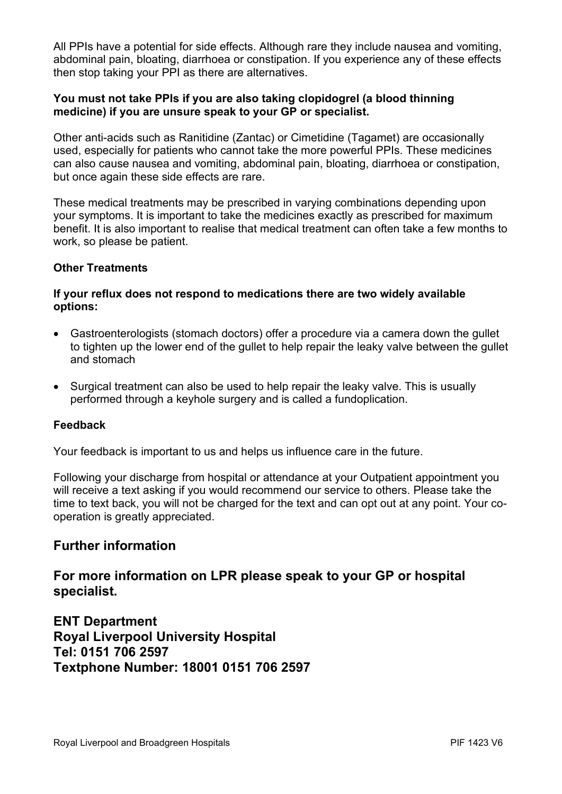All PPIs have a potential for side effects. Although rare they include nausea and vomiting, abdominal pain, bloating, diarrhoea or constipation. If you experience any of these effects then stop taking your PPI as there are alternatives.

#### **You must not take PPIs if you are also taking clopidogrel (a blood thinning medicine) if you are unsure speak to your GP or specialist.**

Other anti-acids such as Ranitidine (Zantac) or Cimetidine (Tagamet) are occasionally used, especially for patients who cannot take the more powerful PPIs. These medicines can also cause nausea and vomiting, abdominal pain, bloating, diarrhoea or constipation, but once again these side effects are rare.

These medical treatments may be prescribed in varying combinations depending upon your symptoms. It is important to take the medicines exactly as prescribed for maximum benefit. It is also important to realise that medical treatment can often take a few months to work, so please be patient.

#### **Other Treatments**

#### **If your reflux does not respond to medications there are two widely available options:**

- Gastroenterologists (stomach doctors) offer a procedure via a camera down the gullet to tighten up the lower end of the gullet to help repair the leaky valve between the gullet and stomach
- Surgical treatment can also be used to help repair the leaky valve. This is usually performed through a keyhole surgery and is called a fundoplication.

#### **Feedback**

Your feedback is important to us and helps us influence care in the future.

Following your discharge from hospital or attendance at your Outpatient appointment you will receive a text asking if you would recommend our service to others. Please take the time to text back, you will not be charged for the text and can opt out at any point. Your cooperation is greatly appreciated.

## **Further information**

**For more information on LPR please speak to your GP or hospital specialist.** 

**ENT Department Royal Liverpool University Hospital Tel: 0151 706 2597 Textphone Number: 18001 0151 706 2597**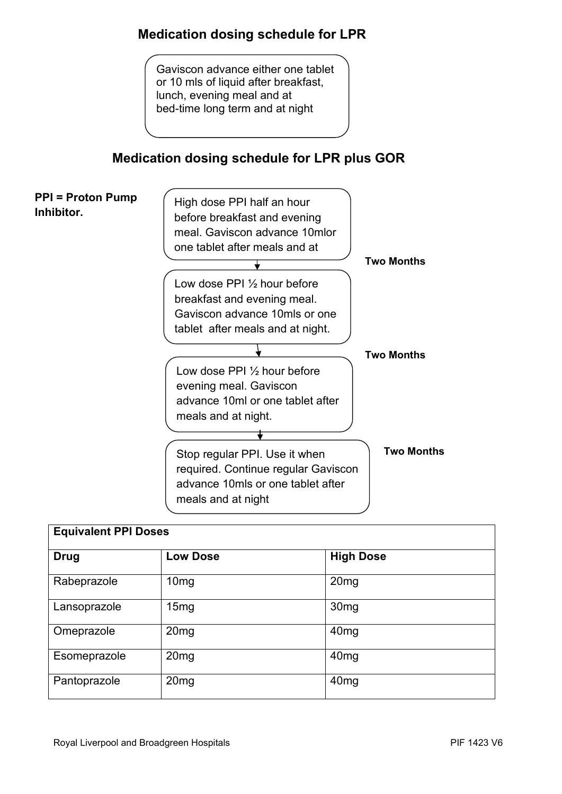# **Medication dosing schedule for LPR**

Gaviscon advance either one tablet or 10 mls of liquid after breakfast, lunch, evening meal and at bed-time long term and at night

# **Medication dosing schedule for LPR plus GOR**



| <b>Equivalent PPI Doses</b> |                  |                  |
|-----------------------------|------------------|------------------|
| <b>Drug</b>                 | <b>Low Dose</b>  | <b>High Dose</b> |
| Rabeprazole                 | 10 <sub>mg</sub> | 20 <sub>mg</sub> |
| Lansoprazole                | 15mg             | 30 <sub>mg</sub> |
| Omeprazole                  | 20 <sub>mg</sub> | 40 <sub>mg</sub> |
| Esomeprazole                | 20 <sub>mg</sub> | 40 <sub>mg</sub> |
| Pantoprazole                | 20 <sub>mg</sub> | 40 <sub>mg</sub> |